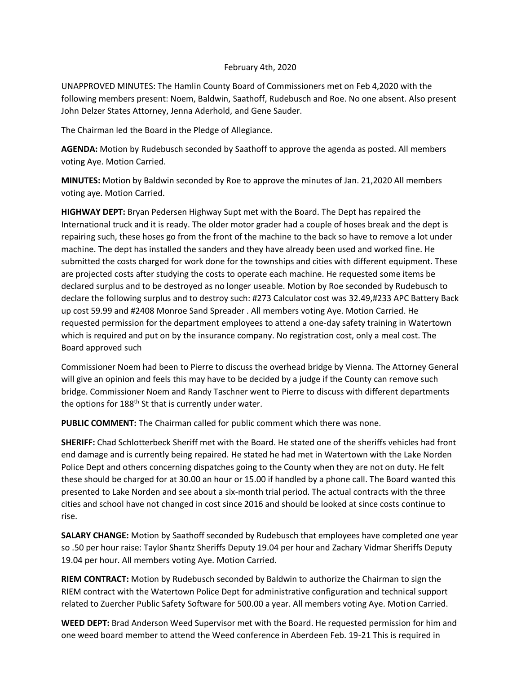## February 4th, 2020

UNAPPROVED MINUTES: The Hamlin County Board of Commissioners met on Feb 4,2020 with the following members present: Noem, Baldwin, Saathoff, Rudebusch and Roe. No one absent. Also present John Delzer States Attorney, Jenna Aderhold, and Gene Sauder.

The Chairman led the Board in the Pledge of Allegiance.

**AGENDA:** Motion by Rudebusch seconded by Saathoff to approve the agenda as posted. All members voting Aye. Motion Carried.

**MINUTES:** Motion by Baldwin seconded by Roe to approve the minutes of Jan. 21,2020 All members voting aye. Motion Carried.

**HIGHWAY DEPT:** Bryan Pedersen Highway Supt met with the Board. The Dept has repaired the International truck and it is ready. The older motor grader had a couple of hoses break and the dept is repairing such, these hoses go from the front of the machine to the back so have to remove a lot under machine. The dept has installed the sanders and they have already been used and worked fine. He submitted the costs charged for work done for the townships and cities with different equipment. These are projected costs after studying the costs to operate each machine. He requested some items be declared surplus and to be destroyed as no longer useable. Motion by Roe seconded by Rudebusch to declare the following surplus and to destroy such: #273 Calculator cost was 32.49,#233 APC Battery Back up cost 59.99 and #2408 Monroe Sand Spreader . All members voting Aye. Motion Carried. He requested permission for the department employees to attend a one-day safety training in Watertown which is required and put on by the insurance company. No registration cost, only a meal cost. The Board approved such

Commissioner Noem had been to Pierre to discuss the overhead bridge by Vienna. The Attorney General will give an opinion and feels this may have to be decided by a judge if the County can remove such bridge. Commissioner Noem and Randy Taschner went to Pierre to discuss with different departments the options for 188<sup>th</sup> St that is currently under water.

**PUBLIC COMMENT:** The Chairman called for public comment which there was none.

**SHERIFF:** Chad Schlotterbeck Sheriff met with the Board. He stated one of the sheriffs vehicles had front end damage and is currently being repaired. He stated he had met in Watertown with the Lake Norden Police Dept and others concerning dispatches going to the County when they are not on duty. He felt these should be charged for at 30.00 an hour or 15.00 if handled by a phone call. The Board wanted this presented to Lake Norden and see about a six-month trial period. The actual contracts with the three cities and school have not changed in cost since 2016 and should be looked at since costs continue to rise.

**SALARY CHANGE:** Motion by Saathoff seconded by Rudebusch that employees have completed one year so .50 per hour raise: Taylor Shantz Sheriffs Deputy 19.04 per hour and Zachary Vidmar Sheriffs Deputy 19.04 per hour. All members voting Aye. Motion Carried.

**RIEM CONTRACT:** Motion by Rudebusch seconded by Baldwin to authorize the Chairman to sign the RIEM contract with the Watertown Police Dept for administrative configuration and technical support related to Zuercher Public Safety Software for 500.00 a year. All members voting Aye. Motion Carried.

**WEED DEPT:** Brad Anderson Weed Supervisor met with the Board. He requested permission for him and one weed board member to attend the Weed conference in Aberdeen Feb. 19-21 This is required in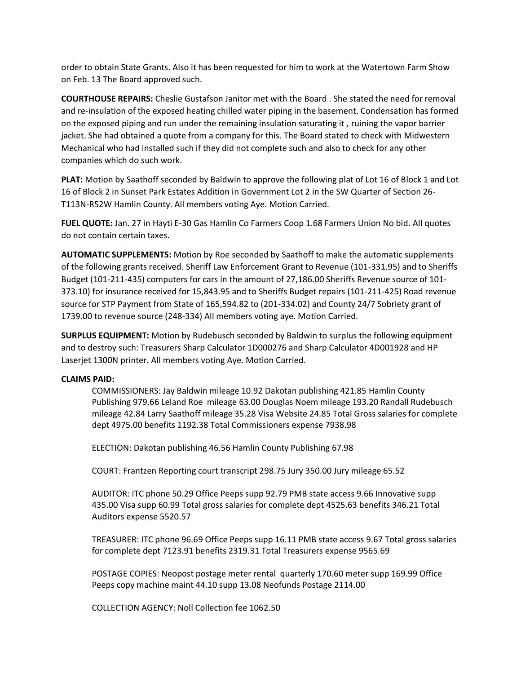order to obtain State Grants. Also it has been requested for him to work at the Watertown Farm Show on Feb. 13 The Board approved such.

**COURTHOUSE REPAIRS:** Cheslie Gustafson Janitor met with the Board . She stated the need for removal and re-insulation of the exposed heating chilled water piping in the basement. Condensation has formed on the exposed piping and run under the remaining insulation saturating it , ruining the vapor barrier jacket. She had obtained a quote from a company for this. The Board stated to check with Midwestern Mechanical who had installed such if they did not complete such and also to check for any other companies which do such work.

**PLAT:** Motion by Saathoff seconded by Baldwin to approve the following plat of Lot 16 of Block 1 and Lot 16 of Block 2 in Sunset Park Estates Addition in Government Lot 2 in the SW Quarter of Section 26- T113N-R52W Hamlin County. All members voting Aye. Motion Carried.

**FUEL QUOTE:** Jan. 27 in Hayti E-30 Gas Hamlin Co Farmers Coop 1.68 Farmers Union No bid. All quotes do not contain certain taxes.

**AUTOMATIC SUPPLEMENTS:** Motion by Roe seconded by Saathoff to make the automatic supplements of the following grants received. Sheriff Law Enforcement Grant to Revenue (101-331.95) and to Sheriffs Budget (101-211-435) computers for cars in the amount of 27,186.00 Sheriffs Revenue source of 101- 373.10) for insurance received for 15,843.95 and to Sheriffs Budget repairs (101-211-425) Road revenue source for STP Payment from State of 165,594.82 to (201-334.02) and County 24/7 Sobriety grant of 1739.00 to revenue source (248-334) All members voting aye. Motion Carried.

**SURPLUS EQUIPMENT:** Motion by Rudebusch seconded by Baldwin to surplus the following equipment and to destroy such: Treasurers Sharp Calculator 1D000276 and Sharp Calculator 4D001928 and HP Laserjet 1300N printer. All members voting Aye. Motion Carried.

## **CLAIMS PAID:**

COMMISSIONERS: Jay Baldwin mileage 10.92 Dakotan publishing 421.85 Hamlin County Publishing 979.66 Leland Roe mileage 63.00 Douglas Noem mileage 193.20 Randall Rudebusch mileage 42.84 Larry Saathoff mileage 35.28 Visa Website 24.85 Total Gross salaries for complete dept 4975.00 benefits 1192.38 Total Commissioners expense 7938.98

ELECTION: Dakotan publishing 46.56 Hamlin County Publishing 67.98

COURT: Frantzen Reporting court transcript 298.75 Jury 350.00 Jury mileage 65.52

AUDITOR: ITC phone 50.29 Office Peeps supp 92.79 PMB state access 9.66 Innovative supp 435.00 Visa supp 60.99 Total gross salaries for complete dept 4525.63 benefits 346.21 Total Auditors expense 5520.57

TREASURER: ITC phone 96.69 Office Peeps supp 16.11 PMB state access 9.67 Total gross salaries for complete dept 7123.91 benefits 2319.31 Total Treasurers expense 9565.69

POSTAGE COPIES: Neopost postage meter rental quarterly 170.60 meter supp 169.99 Office Peeps copy machine maint 44.10 supp 13.08 Neofunds Postage 2114.00

COLLECTION AGENCY: Noll Collection fee 1062.50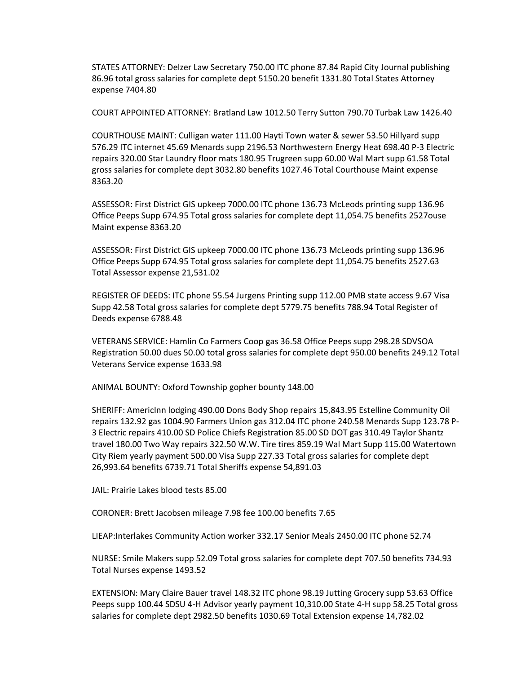STATES ATTORNEY: Delzer Law Secretary 750.00 ITC phone 87.84 Rapid City Journal publishing 86.96 total gross salaries for complete dept 5150.20 benefit 1331.80 Total States Attorney expense 7404.80

COURT APPOINTED ATTORNEY: Bratland Law 1012.50 Terry Sutton 790.70 Turbak Law 1426.40

COURTHOUSE MAINT: Culligan water 111.00 Hayti Town water & sewer 53.50 Hillyard supp 576.29 ITC internet 45.69 Menards supp 2196.53 Northwestern Energy Heat 698.40 P-3 Electric repairs 320.00 Star Laundry floor mats 180.95 Trugreen supp 60.00 Wal Mart supp 61.58 Total gross salaries for complete dept 3032.80 benefits 1027.46 Total Courthouse Maint expense 8363.20

ASSESSOR: First District GIS upkeep 7000.00 ITC phone 136.73 McLeods printing supp 136.96 Office Peeps Supp 674.95 Total gross salaries for complete dept 11,054.75 benefits 2527ouse Maint expense 8363.20

ASSESSOR: First District GIS upkeep 7000.00 ITC phone 136.73 McLeods printing supp 136.96 Office Peeps Supp 674.95 Total gross salaries for complete dept 11,054.75 benefits 2527.63 Total Assessor expense 21,531.02

REGISTER OF DEEDS: ITC phone 55.54 Jurgens Printing supp 112.00 PMB state access 9.67 Visa Supp 42.58 Total gross salaries for complete dept 5779.75 benefits 788.94 Total Register of Deeds expense 6788.48

VETERANS SERVICE: Hamlin Co Farmers Coop gas 36.58 Office Peeps supp 298.28 SDVSOA Registration 50.00 dues 50.00 total gross salaries for complete dept 950.00 benefits 249.12 Total Veterans Service expense 1633.98

ANIMAL BOUNTY: Oxford Township gopher bounty 148.00

SHERIFF: AmericInn lodging 490.00 Dons Body Shop repairs 15,843.95 Estelline Community Oil repairs 132.92 gas 1004.90 Farmers Union gas 312.04 ITC phone 240.58 Menards Supp 123.78 P-3 Electric repairs 410.00 SD Police Chiefs Registration 85.00 SD DOT gas 310.49 Taylor Shantz travel 180.00 Two Way repairs 322.50 W.W. Tire tires 859.19 Wal Mart Supp 115.00 Watertown City Riem yearly payment 500.00 Visa Supp 227.33 Total gross salaries for complete dept 26,993.64 benefits 6739.71 Total Sheriffs expense 54,891.03

JAIL: Prairie Lakes blood tests 85.00

CORONER: Brett Jacobsen mileage 7.98 fee 100.00 benefits 7.65

LIEAP:Interlakes Community Action worker 332.17 Senior Meals 2450.00 ITC phone 52.74

NURSE: Smile Makers supp 52.09 Total gross salaries for complete dept 707.50 benefits 734.93 Total Nurses expense 1493.52

EXTENSION: Mary Claire Bauer travel 148.32 ITC phone 98.19 Jutting Grocery supp 53.63 Office Peeps supp 100.44 SDSU 4-H Advisor yearly payment 10,310.00 State 4-H supp 58.25 Total gross salaries for complete dept 2982.50 benefits 1030.69 Total Extension expense 14,782.02